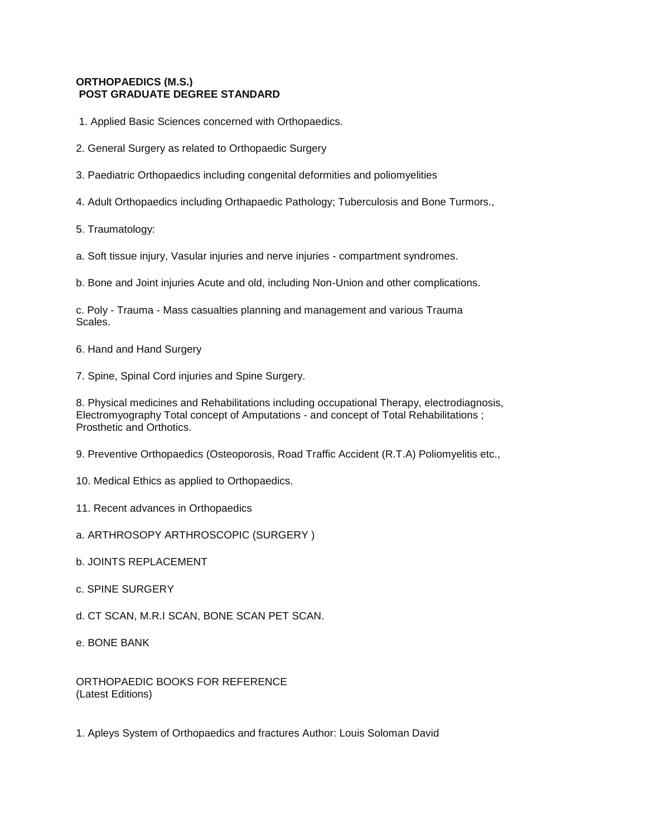## **[ORTHOPAEDICS \(M.S.\)](http://tnpsc.gov.in/ortho.htm) POST GRADUATE DEGREE STANDARD**

- 1. Applied Basic Sciences concerned with Orthopaedics.
- 2. General Surgery as related to Orthopaedic Surgery
- 3. Paediatric Orthopaedics including congenital deformities and poliomyelities
- 4. Adult Orthopaedics including Orthapaedic Pathology; Tuberculosis and Bone Turmors.,
- 5. Traumatology:
- a. Soft tissue injury, Vasular injuries and nerve injuries compartment syndromes.
- b. Bone and Joint injuries Acute and old, including Non-Union and other complications.

c. Poly - Trauma - Mass casualties planning and management and various Trauma Scales.

- 6. Hand and Hand Surgery
- 7. Spine, Spinal Cord injuries and Spine Surgery.

8. Physical medicines and Rehabilitations including occupational Therapy, electrodiagnosis, Electromyography Total concept of Amputations - and concept of Total Rehabilitations ; Prosthetic and Orthotics.

- 9. Preventive Orthopaedics (Osteoporosis, Road Traffic Accident (R.T.A) Poliomyelitis etc.,
- 10. Medical Ethics as applied to Orthopaedics.
- 11. Recent advances in Orthopaedics
- a. ARTHROSOPY ARTHROSCOPIC (SURGERY )
- b. JOINTS REPLACEMENT
- c. SPINE SURGERY
- d. CT SCAN, M.R.I SCAN, BONE SCAN PET SCAN.
- e. BONE BANK

ORTHOPAEDIC BOOKS FOR REFERENCE (Latest Editions)

1. Apleys System of Orthopaedics and fractures Author: Louis Soloman David